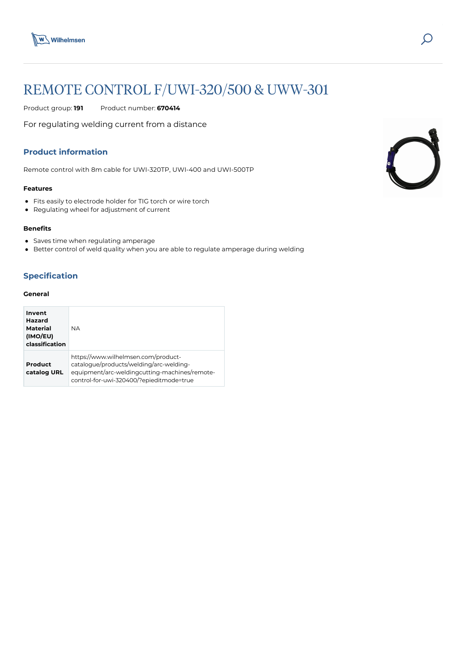

# REMOTE CONTROL F/UWI-320/500 & UWW-301

Product group: **191** Product number: **670414**

For regulating welding current from a distance

# **Product information**

Remote control with 8m cable for UWI-320TP, UWI-400 and UWI-500TP

#### **Features**

- Fits easily to electrode holder for TIG torch or wire torch
- Regulating wheel for adjustment of current

### **Benefits**

- Saves time when regulating amperage
- Better control of weld quality when you are able to regulate amperage during welding

# **Specification**

## **General**

| Invent<br>Hazard<br>Material<br>(IMO/EU)<br>classification | <b>NA</b>                                                                                                                                                                   |
|------------------------------------------------------------|-----------------------------------------------------------------------------------------------------------------------------------------------------------------------------|
| Product<br>catalog URL                                     | https://www.wilhelmsen.com/product-<br>catalogue/products/welding/arc-welding-<br>equipment/arc-weldingcutting-machines/remote-<br>control-for-uwi-320400/?epieditmode=true |